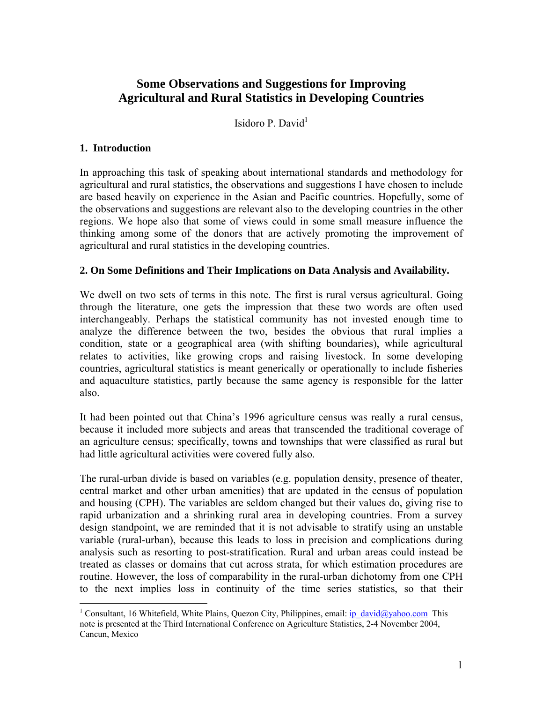# **Some Observations and Suggestions for Improving Agricultural and Rural Statistics in Developing Countries**

Isidoro P. David $<sup>1</sup>$ </sup>

### **1. Introduction**

 $\overline{a}$ 

In approaching this task of speaking about international standards and methodology for agricultural and rural statistics, the observations and suggestions I have chosen to include are based heavily on experience in the Asian and Pacific countries. Hopefully, some of the observations and suggestions are relevant also to the developing countries in the other regions. We hope also that some of views could in some small measure influence the thinking among some of the donors that are actively promoting the improvement of agricultural and rural statistics in the developing countries.

#### **2. On Some Definitions and Their Implications on Data Analysis and Availability.**

We dwell on two sets of terms in this note. The first is rural versus agricultural. Going through the literature, one gets the impression that these two words are often used interchangeably. Perhaps the statistical community has not invested enough time to analyze the difference between the two, besides the obvious that rural implies a condition, state or a geographical area (with shifting boundaries), while agricultural relates to activities, like growing crops and raising livestock. In some developing countries, agricultural statistics is meant generically or operationally to include fisheries and aquaculture statistics, partly because the same agency is responsible for the latter also.

It had been pointed out that China's 1996 agriculture census was really a rural census, because it included more subjects and areas that transcended the traditional coverage of an agriculture census; specifically, towns and townships that were classified as rural but had little agricultural activities were covered fully also.

The rural-urban divide is based on variables (e.g. population density, presence of theater, central market and other urban amenities) that are updated in the census of population and housing (CPH). The variables are seldom changed but their values do, giving rise to rapid urbanization and a shrinking rural area in developing countries. From a survey design standpoint, we are reminded that it is not advisable to stratify using an unstable variable (rural-urban), because this leads to loss in precision and complications during analysis such as resorting to post-stratification. Rural and urban areas could instead be treated as classes or domains that cut across strata, for which estimation procedures are routine. However, the loss of comparability in the rural-urban dichotomy from one CPH to the next implies loss in continuity of the time series statistics, so that their

<sup>&</sup>lt;sup>1</sup> Consultant, 16 Whitefield, White Plains, Quezon City, Philippines, email: *ip\_david@yahoo.com* This note is presented at the Third International Conference on Agriculture Statistics, 2-4 November 2004, Cancun, Mexico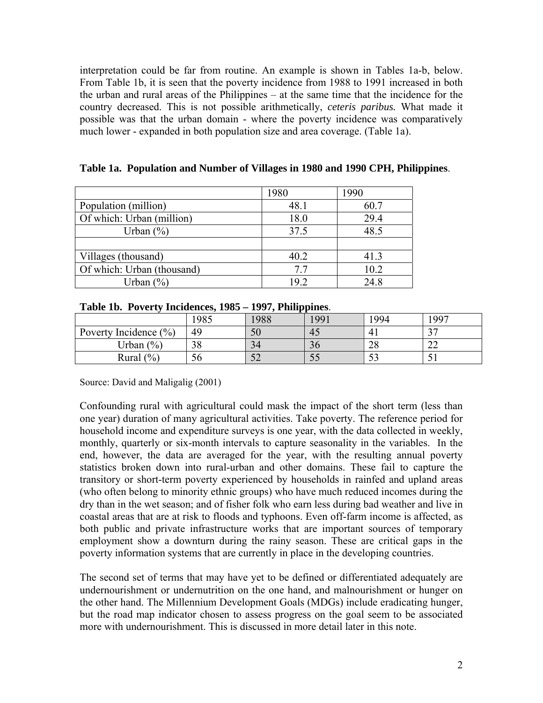interpretation could be far from routine. An example is shown in Tables 1a-b, below. From Table 1b, it is seen that the poverty incidence from 1988 to 1991 increased in both the urban and rural areas of the Philippines – at the same time that the incidence for the country decreased. This is not possible arithmetically, *ceteris paribus.* What made it possible was that the urban domain - where the poverty incidence was comparatively much lower - expanded in both population size and area coverage. (Table 1a).

|                            | 1980 | 1990 |
|----------------------------|------|------|
| Population (million)       | 48.1 | 60.7 |
| Of which: Urban (million)  | 18.0 | 29.4 |
| Urban $(\%)$               | 37.5 | 48.5 |
|                            |      |      |
| Villages (thousand)        | 40.2 | 41.3 |
| Of which: Urban (thousand) | 7.7  | 10.2 |
| Urban $(\% )$              | 192  | 24.8 |

**Table 1a. Population and Number of Villages in 1980 and 1990 CPH, Philippines**.

| Table 1b. Poverty Incidences, 1985 – 1997, Philippines. |  |  |  |  |  |  |
|---------------------------------------------------------|--|--|--|--|--|--|
|---------------------------------------------------------|--|--|--|--|--|--|

|                           | 1985 | 1988       | 1991 | 1994     | 997          |
|---------------------------|------|------------|------|----------|--------------|
| Poverty Incidence $(\% )$ | 49   | 50         | 45   | 4        | $\sim$       |
| Urban $(\%)$              | 38   | 34         | 30   | ററ<br>20 | $\sim$<br>∠∠ |
| Rural $(\% )$             | 56   | م س<br>ے ر | IJ   | ر ر      |              |

Source: David and Maligalig (2001)

Confounding rural with agricultural could mask the impact of the short term (less than one year) duration of many agricultural activities. Take poverty. The reference period for household income and expenditure surveys is one year, with the data collected in weekly, monthly, quarterly or six-month intervals to capture seasonality in the variables. In the end, however, the data are averaged for the year, with the resulting annual poverty statistics broken down into rural-urban and other domains. These fail to capture the transitory or short-term poverty experienced by households in rainfed and upland areas (who often belong to minority ethnic groups) who have much reduced incomes during the dry than in the wet season; and of fisher folk who earn less during bad weather and live in coastal areas that are at risk to floods and typhoons. Even off-farm income is affected, as both public and private infrastructure works that are important sources of temporary employment show a downturn during the rainy season. These are critical gaps in the poverty information systems that are currently in place in the developing countries.

The second set of terms that may have yet to be defined or differentiated adequately are undernourishment or undernutrition on the one hand, and malnourishment or hunger on the other hand. The Millennium Development Goals (MDGs) include eradicating hunger, but the road map indicator chosen to assess progress on the goal seem to be associated more with undernourishment. This is discussed in more detail later in this note.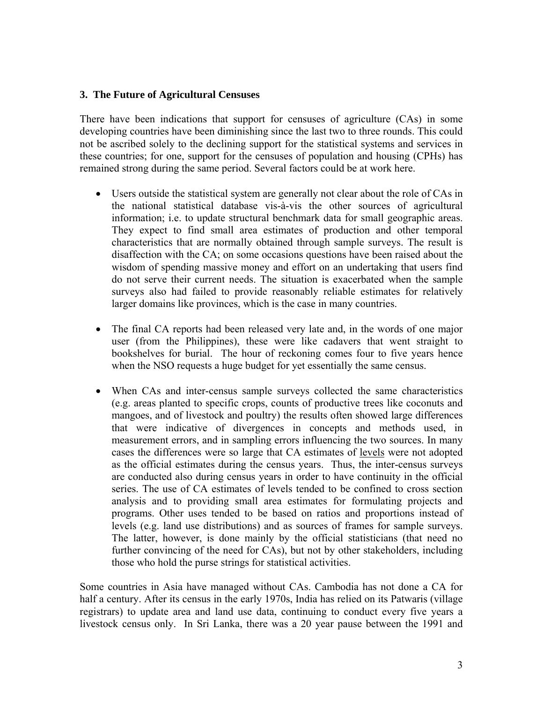### **3. The Future of Agricultural Censuses**

There have been indications that support for censuses of agriculture (CAs) in some developing countries have been diminishing since the last two to three rounds. This could not be ascribed solely to the declining support for the statistical systems and services in these countries; for one, support for the censuses of population and housing (CPHs) has remained strong during the same period. Several factors could be at work here.

- Users outside the statistical system are generally not clear about the role of CAs in the national statistical database vis-à-vis the other sources of agricultural information; i.e. to update structural benchmark data for small geographic areas. They expect to find small area estimates of production and other temporal characteristics that are normally obtained through sample surveys. The result is disaffection with the CA; on some occasions questions have been raised about the wisdom of spending massive money and effort on an undertaking that users find do not serve their current needs. The situation is exacerbated when the sample surveys also had failed to provide reasonably reliable estimates for relatively larger domains like provinces, which is the case in many countries.
- The final CA reports had been released very late and, in the words of one major user (from the Philippines), these were like cadavers that went straight to bookshelves for burial. The hour of reckoning comes four to five years hence when the NSO requests a huge budget for yet essentially the same census.
- When CAs and inter-census sample surveys collected the same characteristics (e.g. areas planted to specific crops, counts of productive trees like coconuts and mangoes, and of livestock and poultry) the results often showed large differences that were indicative of divergences in concepts and methods used, in measurement errors, and in sampling errors influencing the two sources. In many cases the differences were so large that CA estimates of levels were not adopted as the official estimates during the census years. Thus, the inter-census surveys are conducted also during census years in order to have continuity in the official series. The use of CA estimates of levels tended to be confined to cross section analysis and to providing small area estimates for formulating projects and programs. Other uses tended to be based on ratios and proportions instead of levels (e.g. land use distributions) and as sources of frames for sample surveys. The latter, however, is done mainly by the official statisticians (that need no further convincing of the need for CAs), but not by other stakeholders, including those who hold the purse strings for statistical activities.

Some countries in Asia have managed without CAs. Cambodia has not done a CA for half a century. After its census in the early 1970s, India has relied on its Patwaris (village registrars) to update area and land use data, continuing to conduct every five years a livestock census only. In Sri Lanka, there was a 20 year pause between the 1991 and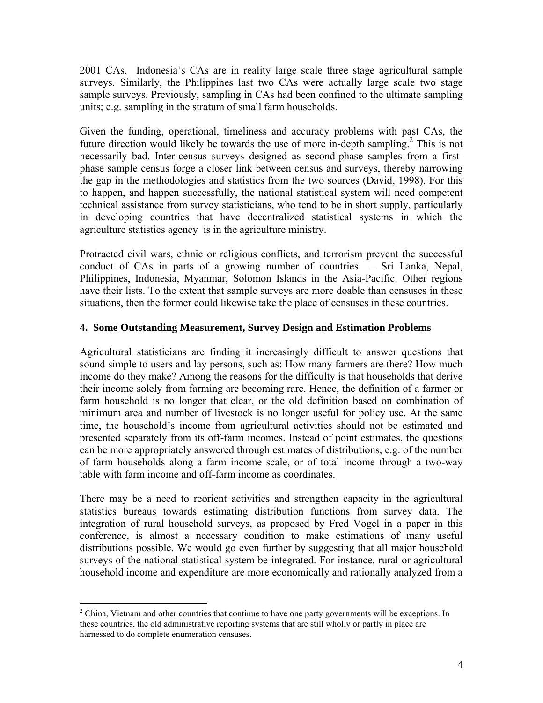2001 CAs. Indonesia's CAs are in reality large scale three stage agricultural sample surveys. Similarly, the Philippines last two CAs were actually large scale two stage sample surveys. Previously, sampling in CAs had been confined to the ultimate sampling units; e.g. sampling in the stratum of small farm households.

Given the funding, operational, timeliness and accuracy problems with past CAs, the future direction would likely be towards the use of more in-depth sampling.<sup>2</sup> This is not necessarily bad. Inter-census surveys designed as second-phase samples from a firstphase sample census forge a closer link between census and surveys, thereby narrowing the gap in the methodologies and statistics from the two sources (David, 1998). For this to happen, and happen successfully, the national statistical system will need competent technical assistance from survey statisticians, who tend to be in short supply, particularly in developing countries that have decentralized statistical systems in which the agriculture statistics agency is in the agriculture ministry.

Protracted civil wars, ethnic or religious conflicts, and terrorism prevent the successful conduct of CAs in parts of a growing number of countries – Sri Lanka, Nepal, Philippines, Indonesia, Myanmar, Solomon Islands in the Asia-Pacific. Other regions have their lists. To the extent that sample surveys are more doable than censuses in these situations, then the former could likewise take the place of censuses in these countries.

## **4. Some Outstanding Measurement, Survey Design and Estimation Problems**

Agricultural statisticians are finding it increasingly difficult to answer questions that sound simple to users and lay persons, such as: How many farmers are there? How much income do they make? Among the reasons for the difficulty is that households that derive their income solely from farming are becoming rare. Hence, the definition of a farmer or farm household is no longer that clear, or the old definition based on combination of minimum area and number of livestock is no longer useful for policy use. At the same time, the household's income from agricultural activities should not be estimated and presented separately from its off-farm incomes. Instead of point estimates, the questions can be more appropriately answered through estimates of distributions, e.g. of the number of farm households along a farm income scale, or of total income through a two-way table with farm income and off-farm income as coordinates.

There may be a need to reorient activities and strengthen capacity in the agricultural statistics bureaus towards estimating distribution functions from survey data. The integration of rural household surveys, as proposed by Fred Vogel in a paper in this conference, is almost a necessary condition to make estimations of many useful distributions possible. We would go even further by suggesting that all major household surveys of the national statistical system be integrated. For instance, rural or agricultural household income and expenditure are more economically and rationally analyzed from a

1

 $2^2$  China, Vietnam and other countries that continue to have one party governments will be exceptions. In these countries, the old administrative reporting systems that are still wholly or partly in place are harnessed to do complete enumeration censuses.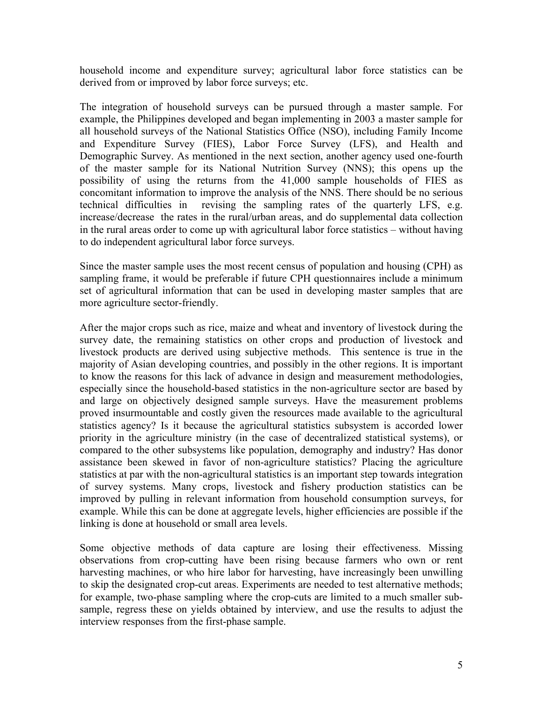household income and expenditure survey; agricultural labor force statistics can be derived from or improved by labor force surveys; etc.

The integration of household surveys can be pursued through a master sample. For example, the Philippines developed and began implementing in 2003 a master sample for all household surveys of the National Statistics Office (NSO), including Family Income and Expenditure Survey (FIES), Labor Force Survey (LFS), and Health and Demographic Survey. As mentioned in the next section, another agency used one-fourth of the master sample for its National Nutrition Survey (NNS); this opens up the possibility of using the returns from the 41,000 sample households of FIES as concomitant information to improve the analysis of the NNS. There should be no serious technical difficulties in revising the sampling rates of the quarterly LFS, e.g. increase/decrease the rates in the rural/urban areas, and do supplemental data collection in the rural areas order to come up with agricultural labor force statistics – without having to do independent agricultural labor force surveys.

Since the master sample uses the most recent census of population and housing (CPH) as sampling frame, it would be preferable if future CPH questionnaires include a minimum set of agricultural information that can be used in developing master samples that are more agriculture sector-friendly.

After the major crops such as rice, maize and wheat and inventory of livestock during the survey date, the remaining statistics on other crops and production of livestock and livestock products are derived using subjective methods. This sentence is true in the majority of Asian developing countries, and possibly in the other regions. It is important to know the reasons for this lack of advance in design and measurement methodologies, especially since the household-based statistics in the non-agriculture sector are based by and large on objectively designed sample surveys. Have the measurement problems proved insurmountable and costly given the resources made available to the agricultural statistics agency? Is it because the agricultural statistics subsystem is accorded lower priority in the agriculture ministry (in the case of decentralized statistical systems), or compared to the other subsystems like population, demography and industry? Has donor assistance been skewed in favor of non-agriculture statistics? Placing the agriculture statistics at par with the non-agricultural statistics is an important step towards integration of survey systems. Many crops, livestock and fishery production statistics can be improved by pulling in relevant information from household consumption surveys, for example. While this can be done at aggregate levels, higher efficiencies are possible if the linking is done at household or small area levels.

Some objective methods of data capture are losing their effectiveness. Missing observations from crop-cutting have been rising because farmers who own or rent harvesting machines, or who hire labor for harvesting, have increasingly been unwilling to skip the designated crop-cut areas. Experiments are needed to test alternative methods; for example, two-phase sampling where the crop-cuts are limited to a much smaller subsample, regress these on yields obtained by interview, and use the results to adjust the interview responses from the first-phase sample.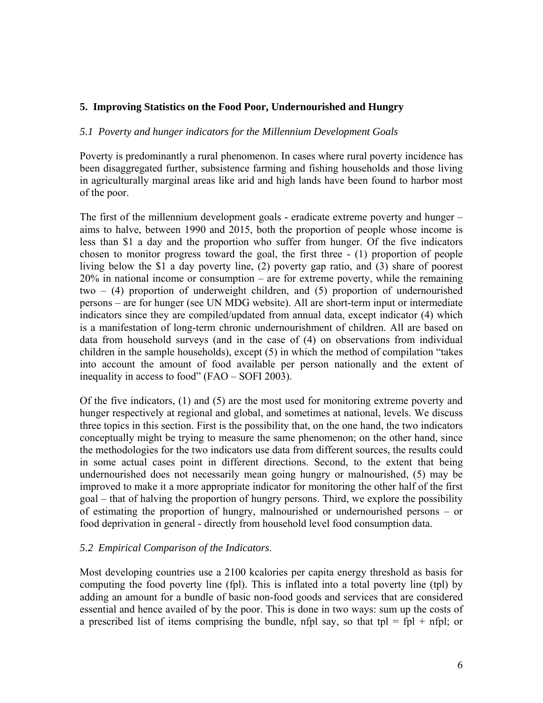### **5. Improving Statistics on the Food Poor, Undernourished and Hungry**

#### *5.1 Poverty and hunger indicators for the Millennium Development Goals*

Poverty is predominantly a rural phenomenon. In cases where rural poverty incidence has been disaggregated further, subsistence farming and fishing households and those living in agriculturally marginal areas like arid and high lands have been found to harbor most of the poor.

The first of the millennium development goals - eradicate extreme poverty and hunger – aims to halve, between 1990 and 2015, both the proportion of people whose income is less than \$1 a day and the proportion who suffer from hunger. Of the five indicators chosen to monitor progress toward the goal, the first three - (1) proportion of people living below the \$1 a day poverty line, (2) poverty gap ratio, and (3) share of poorest 20% in national income or consumption – are for extreme poverty, while the remaining two – (4) proportion of underweight children, and (5) proportion of undernourished persons – are for hunger (see UN MDG website). All are short-term input or intermediate indicators since they are compiled/updated from annual data, except indicator (4) which is a manifestation of long-term chronic undernourishment of children. All are based on data from household surveys (and in the case of (4) on observations from individual children in the sample households), except (5) in which the method of compilation "takes into account the amount of food available per person nationally and the extent of inequality in access to food" (FAO – SOFI 2003).

Of the five indicators, (1) and (5) are the most used for monitoring extreme poverty and hunger respectively at regional and global, and sometimes at national, levels. We discuss three topics in this section. First is the possibility that, on the one hand, the two indicators conceptually might be trying to measure the same phenomenon; on the other hand, since the methodologies for the two indicators use data from different sources, the results could in some actual cases point in different directions. Second, to the extent that being undernourished does not necessarily mean going hungry or malnourished, (5) may be improved to make it a more appropriate indicator for monitoring the other half of the first goal – that of halving the proportion of hungry persons. Third, we explore the possibility of estimating the proportion of hungry, malnourished or undernourished persons – or food deprivation in general - directly from household level food consumption data.

#### *5.2 Empirical Comparison of the Indicators*.

Most developing countries use a 2100 kcalories per capita energy threshold as basis for computing the food poverty line (fpl). This is inflated into a total poverty line (tpl) by adding an amount for a bundle of basic non-food goods and services that are considered essential and hence availed of by the poor. This is done in two ways: sum up the costs of a prescribed list of items comprising the bundle, nfpl say, so that tpl = fpl + nfpl; or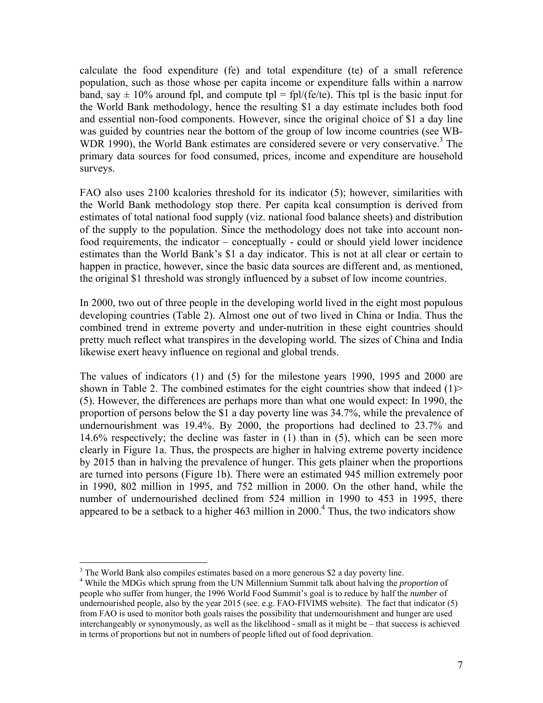calculate the food expenditure (fe) and total expenditure (te) of a small reference population, such as those whose per capita income or expenditure falls within a narrow band, say  $\pm$  10% around fpl, and compute tpl = fpl/(fe/te). This tpl is the basic input for the World Bank methodology, hence the resulting \$1 a day estimate includes both food and essential non-food components. However, since the original choice of \$1 a day line was guided by countries near the bottom of the group of low income countries (see WB-WDR 1990), the World Bank estimates are considered severe or very conservative.<sup>3</sup> The primary data sources for food consumed, prices, income and expenditure are household surveys.

FAO also uses 2100 kcalories threshold for its indicator (5); however, similarities with the World Bank methodology stop there. Per capita kcal consumption is derived from estimates of total national food supply (viz. national food balance sheets) and distribution of the supply to the population. Since the methodology does not take into account nonfood requirements, the indicator – conceptually - could or should yield lower incidence estimates than the World Bank's \$1 a day indicator. This is not at all clear or certain to happen in practice, however, since the basic data sources are different and, as mentioned, the original \$1 threshold was strongly influenced by a subset of low income countries.

In 2000, two out of three people in the developing world lived in the eight most populous developing countries (Table 2). Almost one out of two lived in China or India. Thus the combined trend in extreme poverty and under-nutrition in these eight countries should pretty much reflect what transpires in the developing world. The sizes of China and India likewise exert heavy influence on regional and global trends.

The values of indicators (1) and (5) for the milestone years 1990, 1995 and 2000 are shown in Table 2. The combined estimates for the eight countries show that indeed  $(1)$ (5). However, the differences are perhaps more than what one would expect: In 1990, the proportion of persons below the \$1 a day poverty line was 34.7%, while the prevalence of undernourishment was 19.4%. By 2000, the proportions had declined to 23.7% and 14.6% respectively; the decline was faster in (1) than in (5), which can be seen more clearly in Figure 1a. Thus, the prospects are higher in halving extreme poverty incidence by 2015 than in halving the prevalence of hunger. This gets plainer when the proportions are turned into persons (Figure 1b). There were an estimated 945 million extremely poor in 1990, 802 million in 1995, and 752 million in 2000. On the other hand, while the number of undernourished declined from 524 million in 1990 to 453 in 1995, there appeared to be a setback to a higher 463 million in 2000.<sup>4</sup> Thus, the two indicators show

 $\overline{a}$ 

 $3$  The World Bank also compiles estimates based on a more generous \$2 a day poverty line.

<sup>4</sup> While the MDGs which sprung from the UN Millennium Summit talk about halving the *proportion* of people who suffer from hunger, the 1996 World Food Summit's goal is to reduce by half the *number* of undernourished people, also by the year 2015 (see. e.g. FAO-FIVIMS website). The fact that indicator (5) from FAO is used to monitor both goals raises the possibility that undernourishment and hunger are used interchangeably or synonymously, as well as the likelihood - small as it might be – that success is achieved in terms of proportions but not in numbers of people lifted out of food deprivation.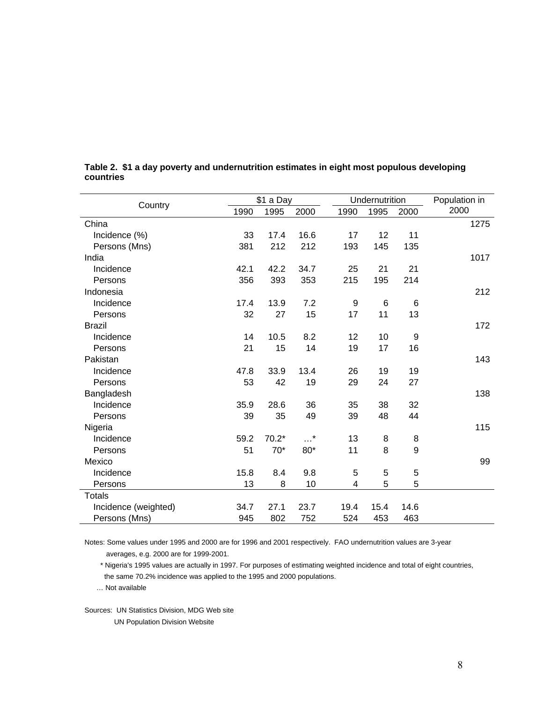| Country              |      | \$1 a Day |      | Undernutrition |      |      | Population in |
|----------------------|------|-----------|------|----------------|------|------|---------------|
|                      | 1990 | 1995      | 2000 | 1990           | 1995 | 2000 | 2000          |
| China                |      |           |      |                |      |      | 1275          |
| Incidence (%)        | 33   | 17.4      | 16.6 | 17             | 12   | 11   |               |
| Persons (Mns)        | 381  | 212       | 212  | 193            | 145  | 135  |               |
| India                |      |           |      |                |      |      | 1017          |
| Incidence            | 42.1 | 42.2      | 34.7 | 25             | 21   | 21   |               |
| Persons              | 356  | 393       | 353  | 215            | 195  | 214  |               |
| Indonesia            |      |           |      |                |      |      | 212           |
| Incidence            | 17.4 | 13.9      | 7.2  | 9              | 6    | 6    |               |
| Persons              | 32   | 27        | 15   | 17             | 11   | 13   |               |
| <b>Brazil</b>        |      |           |      |                |      |      | 172           |
| Incidence            | 14   | 10.5      | 8.2  | 12             | 10   | 9    |               |
| Persons              | 21   | 15        | 14   | 19             | 17   | 16   |               |
| Pakistan             |      |           |      |                |      |      | 143           |
| Incidence            | 47.8 | 33.9      | 13.4 | 26             | 19   | 19   |               |
| Persons              | 53   | 42        | 19   | 29             | 24   | 27   |               |
| Bangladesh           |      |           |      |                |      |      | 138           |
| Incidence            | 35.9 | 28.6      | 36   | 35             | 38   | 32   |               |
| Persons              | 39   | 35        | 49   | 39             | 48   | 44   |               |
| Nigeria              |      |           |      |                |      |      | 115           |
| Incidence            | 59.2 | $70.2*$   | . *  | 13             | 8    | 8    |               |
| Persons              | 51   | $70*$     | 80*  | 11             | 8    | 9    |               |
| Mexico               |      |           |      |                |      |      | 99            |
| Incidence            | 15.8 | 8.4       | 9.8  | 5              | 5    | 5    |               |
| Persons              | 13   | 8         | 10   | 4              | 5    | 5    |               |
| <b>Totals</b>        |      |           |      |                |      |      |               |
| Incidence (weighted) | 34.7 | 27.1      | 23.7 | 19.4           | 15.4 | 14.6 |               |
| Persons (Mns)        | 945  | 802       | 752  | 524            | 453  | 463  |               |

#### **Table 2. \$1 a day poverty and undernutrition estimates in eight most populous developing countries**

Notes: Some values under 1995 and 2000 are for 1996 and 2001 respectively. FAO undernutrition values are 3-year averages, e.g. 2000 are for 1999-2001.

 \* Nigeria's 1995 values are actually in 1997. For purposes of estimating weighted incidence and total of eight countries, the same 70.2% incidence was applied to the 1995 and 2000 populations.

… Not available

Sources: UN Statistics Division, MDG Web site UN Population Division Website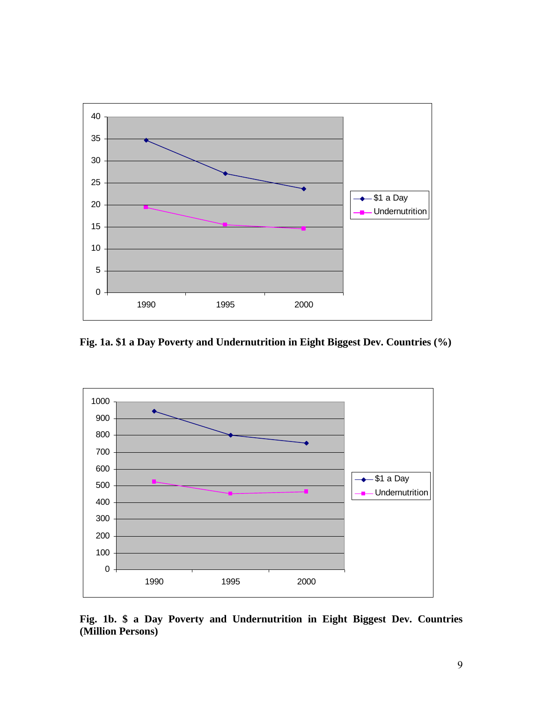

**Fig. 1a. \$1 a Day Poverty and Undernutrition in Eight Biggest Dev. Countries (%)** 



**Fig. 1b. \$ a Day Poverty and Undernutrition in Eight Biggest Dev. Countries (Million Persons)**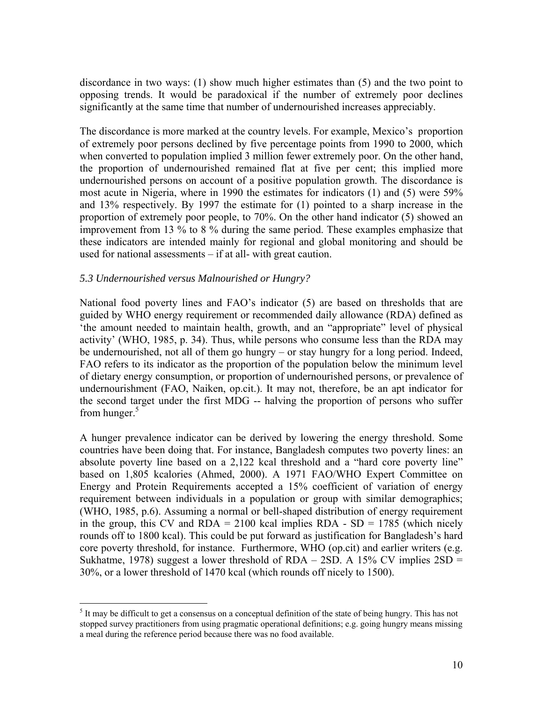discordance in two ways: (1) show much higher estimates than (5) and the two point to opposing trends. It would be paradoxical if the number of extremely poor declines significantly at the same time that number of undernourished increases appreciably.

The discordance is more marked at the country levels. For example, Mexico's proportion of extremely poor persons declined by five percentage points from 1990 to 2000, which when converted to population implied 3 million fewer extremely poor. On the other hand, the proportion of undernourished remained flat at five per cent; this implied more undernourished persons on account of a positive population growth. The discordance is most acute in Nigeria, where in 1990 the estimates for indicators (1) and (5) were 59% and 13% respectively. By 1997 the estimate for (1) pointed to a sharp increase in the proportion of extremely poor people, to 70%. On the other hand indicator (5) showed an improvement from 13 % to 8 % during the same period. These examples emphasize that these indicators are intended mainly for regional and global monitoring and should be used for national assessments – if at all- with great caution.

#### *5.3 Undernourished versus Malnourished or Hungry?*

 $\overline{a}$ 

National food poverty lines and FAO's indicator (5) are based on thresholds that are guided by WHO energy requirement or recommended daily allowance (RDA) defined as 'the amount needed to maintain health, growth, and an "appropriate" level of physical activity' (WHO, 1985, p. 34). Thus, while persons who consume less than the RDA may be undernourished, not all of them go hungry – or stay hungry for a long period. Indeed, FAO refers to its indicator as the proportion of the population below the minimum level of dietary energy consumption, or proportion of undernourished persons, or prevalence of undernourishment (FAO, Naiken, op.cit.). It may not, therefore, be an apt indicator for the second target under the first MDG -- halving the proportion of persons who suffer from hunger. $5$ 

A hunger prevalence indicator can be derived by lowering the energy threshold. Some countries have been doing that. For instance, Bangladesh computes two poverty lines: an absolute poverty line based on a 2,122 kcal threshold and a "hard core poverty line" based on 1,805 kcalories (Ahmed, 2000). A 1971 FAO/WHO Expert Committee on Energy and Protein Requirements accepted a 15% coefficient of variation of energy requirement between individuals in a population or group with similar demographics; (WHO, 1985, p.6). Assuming a normal or bell-shaped distribution of energy requirement in the group, this CV and  $RDA = 2100$  kcal implies  $RDA - SD = 1785$  (which nicely rounds off to 1800 kcal). This could be put forward as justification for Bangladesh's hard core poverty threshold, for instance. Furthermore, WHO (op.cit) and earlier writers (e.g. Sukhatme, 1978) suggest a lower threshold of  $RDA - 2SD$ . A 15% CV implies  $2SD =$ 30%, or a lower threshold of 1470 kcal (which rounds off nicely to 1500).

 $<sup>5</sup>$  It may be difficult to get a consensus on a conceptual definition of the state of being hungry. This has not</sup> stopped survey practitioners from using pragmatic operational definitions; e.g. going hungry means missing a meal during the reference period because there was no food available.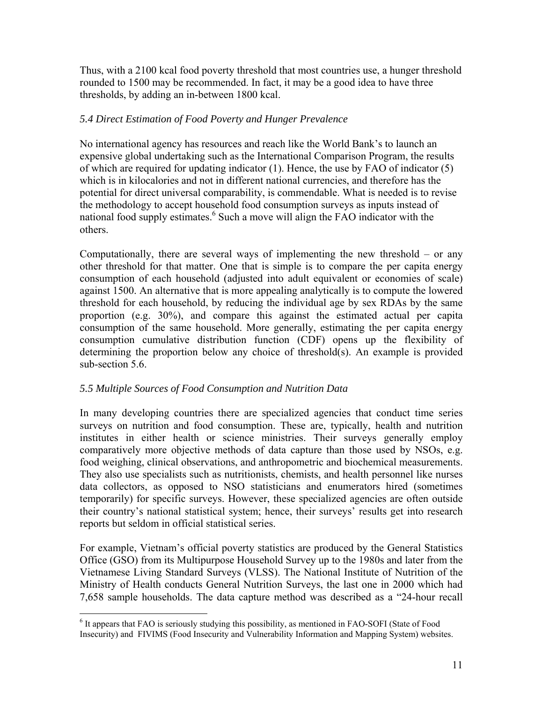Thus, with a 2100 kcal food poverty threshold that most countries use, a hunger threshold rounded to 1500 may be recommended. In fact, it may be a good idea to have three thresholds, by adding an in-between 1800 kcal.

## *5.4 Direct Estimation of Food Poverty and Hunger Prevalence*

No international agency has resources and reach like the World Bank's to launch an expensive global undertaking such as the International Comparison Program, the results of which are required for updating indicator (1). Hence, the use by FAO of indicator (5) which is in kilocalories and not in different national currencies, and therefore has the potential for direct universal comparability, is commendable. What is needed is to revise the methodology to accept household food consumption surveys as inputs instead of national food supply estimates.<sup>6</sup> Such a move will align the FAO indicator with the others.

Computationally, there are several ways of implementing the new threshold – or any other threshold for that matter. One that is simple is to compare the per capita energy consumption of each household (adjusted into adult equivalent or economies of scale) against 1500. An alternative that is more appealing analytically is to compute the lowered threshold for each household, by reducing the individual age by sex RDAs by the same proportion (e.g. 30%), and compare this against the estimated actual per capita consumption of the same household. More generally, estimating the per capita energy consumption cumulative distribution function (CDF) opens up the flexibility of determining the proportion below any choice of threshold(s). An example is provided sub-section 5.6.

## *5.5 Multiple Sources of Food Consumption and Nutrition Data*

 $\overline{a}$ 

In many developing countries there are specialized agencies that conduct time series surveys on nutrition and food consumption. These are, typically, health and nutrition institutes in either health or science ministries. Their surveys generally employ comparatively more objective methods of data capture than those used by NSOs, e.g. food weighing, clinical observations, and anthropometric and biochemical measurements. They also use specialists such as nutritionists, chemists, and health personnel like nurses data collectors, as opposed to NSO statisticians and enumerators hired (sometimes temporarily) for specific surveys. However, these specialized agencies are often outside their country's national statistical system; hence, their surveys' results get into research reports but seldom in official statistical series.

For example, Vietnam's official poverty statistics are produced by the General Statistics Office (GSO) from its Multipurpose Household Survey up to the 1980s and later from the Vietnamese Living Standard Surveys (VLSS). The National Institute of Nutrition of the Ministry of Health conducts General Nutrition Surveys, the last one in 2000 which had 7,658 sample households. The data capture method was described as a "24-hour recall

<sup>&</sup>lt;sup>6</sup> It appears that FAO is seriously studying this possibility, as mentioned in FAO-SOFI (State of Food Insecurity) and FIVIMS (Food Insecurity and Vulnerability Information and Mapping System) websites.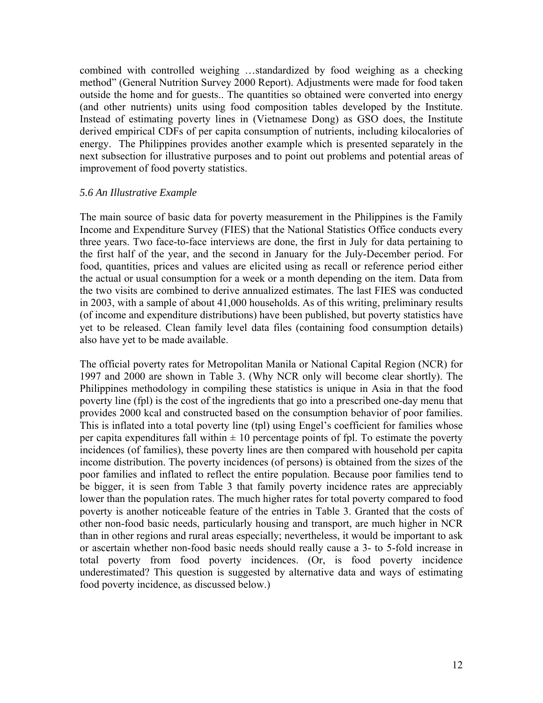combined with controlled weighing …standardized by food weighing as a checking method" (General Nutrition Survey 2000 Report). Adjustments were made for food taken outside the home and for guests.. The quantities so obtained were converted into energy (and other nutrients) units using food composition tables developed by the Institute. Instead of estimating poverty lines in (Vietnamese Dong) as GSO does, the Institute derived empirical CDFs of per capita consumption of nutrients, including kilocalories of energy. The Philippines provides another example which is presented separately in the next subsection for illustrative purposes and to point out problems and potential areas of improvement of food poverty statistics.

### *5.6 An Illustrative Example*

The main source of basic data for poverty measurement in the Philippines is the Family Income and Expenditure Survey (FIES) that the National Statistics Office conducts every three years. Two face-to-face interviews are done, the first in July for data pertaining to the first half of the year, and the second in January for the July-December period. For food, quantities, prices and values are elicited using as recall or reference period either the actual or usual consumption for a week or a month depending on the item. Data from the two visits are combined to derive annualized estimates. The last FIES was conducted in 2003, with a sample of about 41,000 households. As of this writing, preliminary results (of income and expenditure distributions) have been published, but poverty statistics have yet to be released. Clean family level data files (containing food consumption details) also have yet to be made available.

The official poverty rates for Metropolitan Manila or National Capital Region (NCR) for 1997 and 2000 are shown in Table 3. (Why NCR only will become clear shortly). The Philippines methodology in compiling these statistics is unique in Asia in that the food poverty line (fpl) is the cost of the ingredients that go into a prescribed one-day menu that provides 2000 kcal and constructed based on the consumption behavior of poor families. This is inflated into a total poverty line (tpl) using Engel's coefficient for families whose per capita expenditures fall within  $\pm 10$  percentage points of fpl. To estimate the poverty incidences (of families), these poverty lines are then compared with household per capita income distribution. The poverty incidences (of persons) is obtained from the sizes of the poor families and inflated to reflect the entire population. Because poor families tend to be bigger, it is seen from Table 3 that family poverty incidence rates are appreciably lower than the population rates. The much higher rates for total poverty compared to food poverty is another noticeable feature of the entries in Table 3. Granted that the costs of other non-food basic needs, particularly housing and transport, are much higher in NCR than in other regions and rural areas especially; nevertheless, it would be important to ask or ascertain whether non-food basic needs should really cause a 3- to 5-fold increase in total poverty from food poverty incidences. (Or, is food poverty incidence underestimated? This question is suggested by alternative data and ways of estimating food poverty incidence, as discussed below.)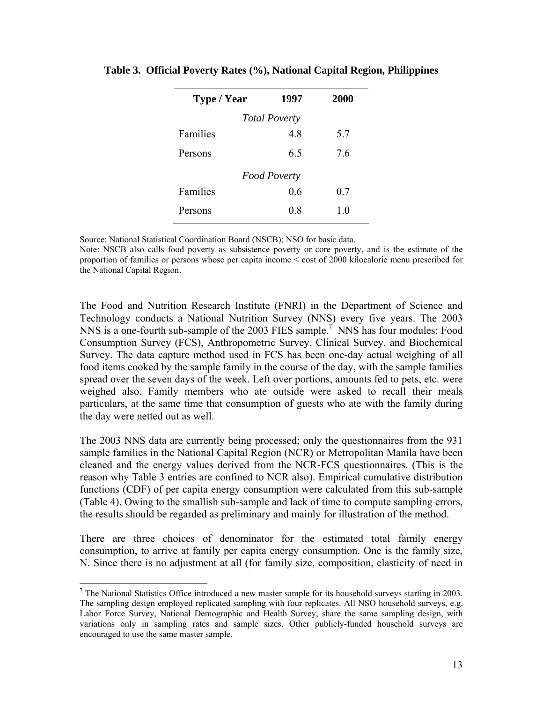| Type / Year          | 1997 | <b>2000</b> |  |  |  |  |  |
|----------------------|------|-------------|--|--|--|--|--|
| <b>Total Poverty</b> |      |             |  |  |  |  |  |
| Families             | 48   | 5.7         |  |  |  |  |  |
| Persons              | 65   | 76          |  |  |  |  |  |
| <b>Food Poverty</b>  |      |             |  |  |  |  |  |
| Families             | 0.6  | 0.7         |  |  |  |  |  |
| Persons              | 0.8  | 10          |  |  |  |  |  |

#### **Table 3. Official Poverty Rates (%), National Capital Region, Philippines**

Source: National Statistical Coordination Board (NSCB); NSO for basic data.

Note: NSCB also calls food poverty as subsistence poverty or core poverty, and is the estimate of the proportion of families or persons whose per capita income < cost of 2000 kilocalorie menu prescribed for the National Capital Region.

The Food and Nutrition Research Institute (FNRI) in the Department of Science and Technology conducts a National Nutrition Survey (NNS) every five years. The 2003 NNS is a one-fourth sub-sample of the 2003 FIES sample.<sup>7</sup> NNS has four modules: Food Consumption Survey (FCS), Anthropometric Survey, Clinical Survey, and Biochemical Survey. The data capture method used in FCS has been one-day actual weighing of all food items cooked by the sample family in the course of the day, with the sample families spread over the seven days of the week. Left over portions, amounts fed to pets, etc. were weighed also. Family members who ate outside were asked to recall their meals particulars, at the same time that consumption of guests who ate with the family during the day were netted out as well.

The 2003 NNS data are currently being processed; only the questionnaires from the 931 sample families in the National Capital Region (NCR) or Metropolitan Manila have been cleaned and the energy values derived from the NCR-FCS questionnaires. (This is the reason why Table 3 entries are confined to NCR also). Empirical cumulative distribution functions (CDF) of per capita energy consumption were calculated from this sub-sample (Table 4). Owing to the smallish sub-sample and lack of time to compute sampling errors, the results should be regarded as preliminary and mainly for illustration of the method.

There are three choices of denominator for the estimated total family energy consumption, to arrive at family per capita energy consumption. One is the family size, N. Since there is no adjustment at all (for family size, composition, elasticity of need in

1

 $<sup>7</sup>$  The National Statistics Office introduced a new master sample for its household surveys starting in 2003.</sup> The sampling design employed replicated sampling with four replicates. All NSO household surveys, e.g. Labor Force Survey, National Demographic and Health Survey, share the same sampling design, with variations only in sampling rates and sample sizes. Other publicly-funded household surveys are encouraged to use the same master sample.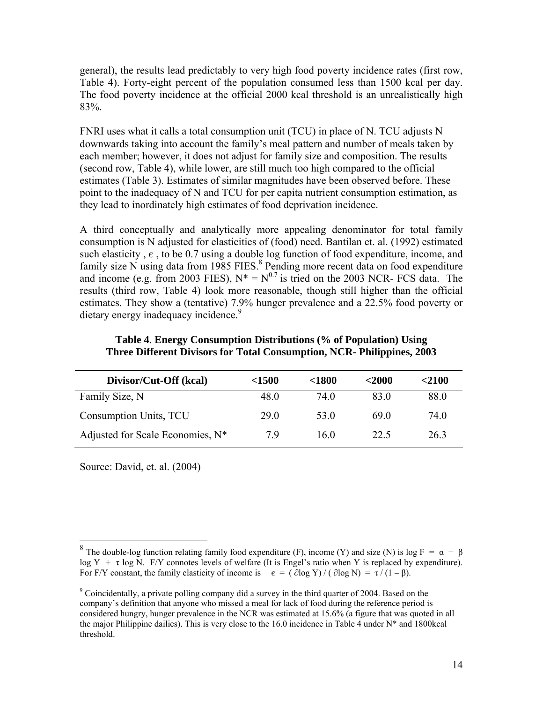general), the results lead predictably to very high food poverty incidence rates (first row, Table 4). Forty-eight percent of the population consumed less than 1500 kcal per day. The food poverty incidence at the official 2000 kcal threshold is an unrealistically high 83%.

FNRI uses what it calls a total consumption unit (TCU) in place of N. TCU adjusts N downwards taking into account the family's meal pattern and number of meals taken by each member; however, it does not adjust for family size and composition. The results (second row, Table 4), while lower, are still much too high compared to the official estimates (Table 3). Estimates of similar magnitudes have been observed before. These point to the inadequacy of N and TCU for per capita nutrient consumption estimation, as they lead to inordinately high estimates of food deprivation incidence.

A third conceptually and analytically more appealing denominator for total family consumption is N adjusted for elasticities of (food) need. Bantilan et. al. (1992) estimated such elasticity,  $\epsilon$ , to be 0.7 using a double log function of food expenditure, income, and family size N using data from 1985 FIES.<sup>8</sup> Pending more recent data on food expenditure and income (e.g. from 2003 FIES),  $N^* = N^{0.7}$  is tried on the 2003 NCR- FCS data. The results (third row, Table 4) look more reasonable, though still higher than the official estimates. They show a (tentative) 7.9% hunger prevalence and a 22.5% food poverty or dietary energy inadequacy incidence.<sup>9</sup>

| Divisor/Cut-Off (kcal)           | $<$ 1500 | $<$ 1800 | $2000$          | $<$ 2100 |
|----------------------------------|----------|----------|-----------------|----------|
| Family Size, N                   | 48.0     | 74 Q     | 83.0            | 88.0     |
| Consumption Units, TCU           | 29.0     | 53.0     | 69 <sub>0</sub> | 74 O     |
| Adjusted for Scale Economies, N* | 79       | 160      | 22.5            | 263      |

#### **Table 4**. **Energy Consumption Distributions (% of Population) Using Three Different Divisors for Total Consumption, NCR- Philippines, 2003**

Source: David, et. al. (2004)

 $\overline{a}$ 

<sup>&</sup>lt;sup>8</sup> The double-log function relating family food expenditure (F), income (Y) and size (N) is log F = α + β log  $Y + \tau \log N$ . F/Y connotes levels of welfare (It is Engel's ratio when Y is replaced by expenditure). For F/Y constant, the family elasticity of income is  $\epsilon = (\partial \log Y)/(\partial \log N) = \tau/(1 - \beta)$ .

<sup>&</sup>lt;sup>9</sup> Coincidentally, a private polling company did a survey in the third quarter of 2004. Based on the company's definition that anyone who missed a meal for lack of food during the reference period is considered hungry, hunger prevalence in the NCR was estimated at 15.6% (a figure that was quoted in all the major Philippine dailies). This is very close to the 16.0 incidence in Table 4 under  $N^*$  and 1800kcal threshold.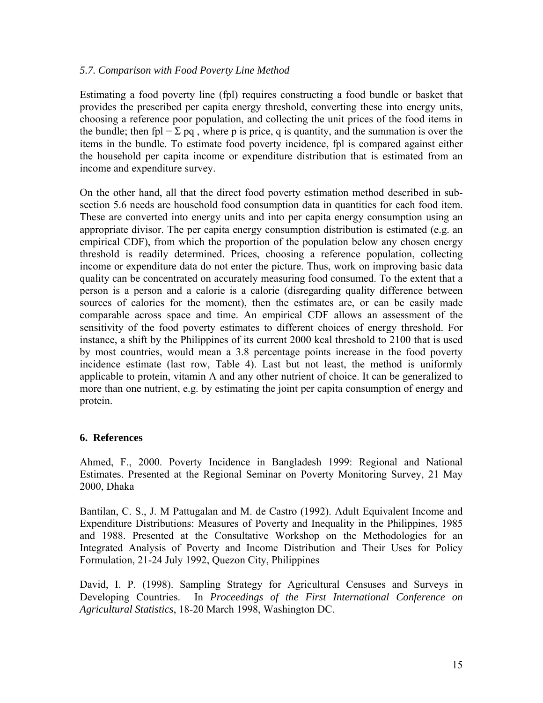## *5.7. Comparison with Food Poverty Line Method*

Estimating a food poverty line (fpl) requires constructing a food bundle or basket that provides the prescribed per capita energy threshold, converting these into energy units, choosing a reference poor population, and collecting the unit prices of the food items in the bundle; then fpl =  $\Sigma$  pq, where p is price, q is quantity, and the summation is over the items in the bundle. To estimate food poverty incidence, fpl is compared against either the household per capita income or expenditure distribution that is estimated from an income and expenditure survey.

On the other hand, all that the direct food poverty estimation method described in subsection 5.6 needs are household food consumption data in quantities for each food item. These are converted into energy units and into per capita energy consumption using an appropriate divisor. The per capita energy consumption distribution is estimated (e.g. an empirical CDF), from which the proportion of the population below any chosen energy threshold is readily determined. Prices, choosing a reference population, collecting income or expenditure data do not enter the picture. Thus, work on improving basic data quality can be concentrated on accurately measuring food consumed. To the extent that a person is a person and a calorie is a calorie (disregarding quality difference between sources of calories for the moment), then the estimates are, or can be easily made comparable across space and time. An empirical CDF allows an assessment of the sensitivity of the food poverty estimates to different choices of energy threshold. For instance, a shift by the Philippines of its current 2000 kcal threshold to 2100 that is used by most countries, would mean a 3.8 percentage points increase in the food poverty incidence estimate (last row, Table 4). Last but not least, the method is uniformly applicable to protein, vitamin A and any other nutrient of choice. It can be generalized to more than one nutrient, e.g. by estimating the joint per capita consumption of energy and protein.

## **6. References**

Ahmed, F., 2000. Poverty Incidence in Bangladesh 1999: Regional and National Estimates. Presented at the Regional Seminar on Poverty Monitoring Survey, 21 May 2000, Dhaka

Bantilan, C. S., J. M Pattugalan and M. de Castro (1992). Adult Equivalent Income and Expenditure Distributions: Measures of Poverty and Inequality in the Philippines, 1985 and 1988. Presented at the Consultative Workshop on the Methodologies for an Integrated Analysis of Poverty and Income Distribution and Their Uses for Policy Formulation, 21-24 July 1992, Quezon City, Philippines

David, I. P. (1998). Sampling Strategy for Agricultural Censuses and Surveys in Developing Countries. In *Proceedings of the First International Conference on Agricultural Statistics*, 18-20 March 1998, Washington DC.